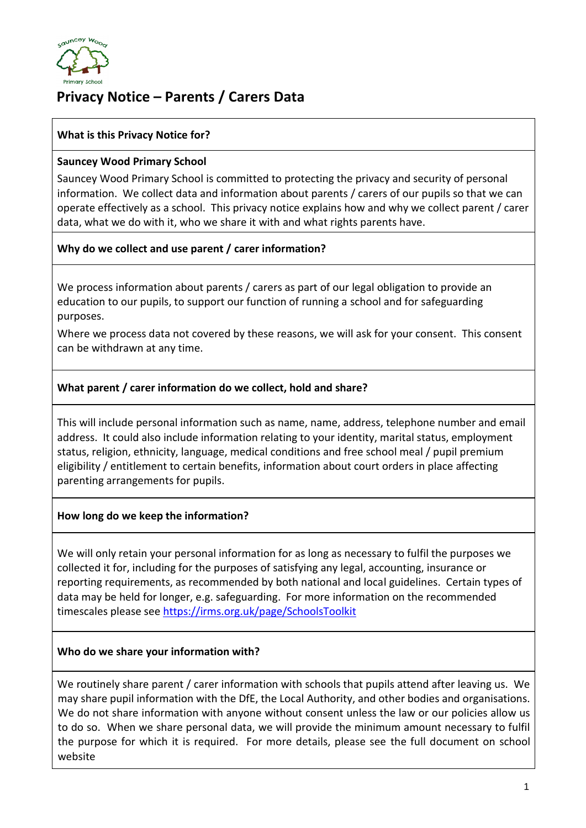

# **Privacy Notice – Parents / Carers Data**

## **What is this Privacy Notice for?**

#### **Sauncey Wood Primary School**

Sauncey Wood Primary School is committed to protecting the privacy and security of personal information. We collect data and information about parents / carers of our pupils so that we can operate effectively as a school. This privacy notice explains how and why we collect parent / carer data, what we do with it, who we share it with and what rights parents have.

## **Why do we collect and use parent / carer information?**

We process information about parents / carers as part of our legal obligation to provide an education to our pupils, to support our function of running a school and for safeguarding purposes.

Where we process data not covered by these reasons, we will ask for your consent. This consent can be withdrawn at any time.

## **What parent / carer information do we collect, hold and share?**

This will include personal information such as name, name, address, telephone number and email address. It could also include information relating to your identity, marital status, employment status, religion, ethnicity, language, medical conditions and free school meal / pupil premium eligibility / entitlement to certain benefits, information about court orders in place affecting parenting arrangements for pupils.

## **How long do we keep the information?**

We will only retain your personal information for as long as necessary to fulfil the purposes we collected it for, including for the purposes of satisfying any legal, accounting, insurance or reporting requirements, as recommended by both national and local guidelines. Certain types of data may be held for longer, e.g. safeguarding. For more information on the recommended timescales please see<https://irms.org.uk/page/SchoolsToolkit>

## **Who do we share your information with?**

We routinely share parent / carer information with schools that pupils attend after leaving us. We may share pupil information with the DfE, the Local Authority, and other bodies and organisations. We do not share information with anyone without consent unless the law or our policies allow us to do so. When we share personal data, we will provide the minimum amount necessary to fulfil the purpose for which it is required. For more details, please see the full document on school website